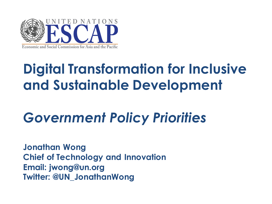

# **Digital Transformation for Inclusive and Sustainable Development**

# *Government Policy Priorities*

**Jonathan Wong Chief of Technology and Innovation Email: jwong@un.org Twitter: @UN\_JonathanWong**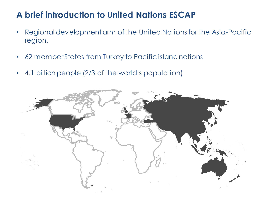### **A brief introduction to United Nations ESCAP**

- Regional development arm of the United Nations for the Asia-Pacific region.
- 62 member States from Turkey to Pacific island nations
- 4.1 billion people (2/3 of the world's population)

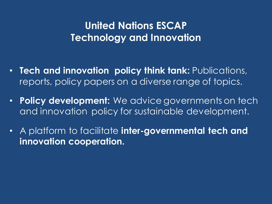### **United Nations ESCAP Technology and Innovation**

- **Tech and innovation policy think tank:** Publications, reports, policy papers on a diverse range of topics.
- **Policy development:** We advice governments on tech and innovation policy for sustainable development.
- A platform to facilitate **inter-governmental tech and innovation cooperation.**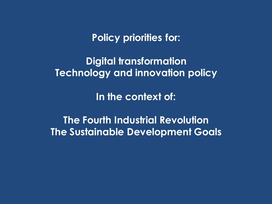**Policy priorities for:**

**Digital transformation Technology and innovation policy**

**In the context of:**

**The Fourth Industrial Revolution The Sustainable Development Goals**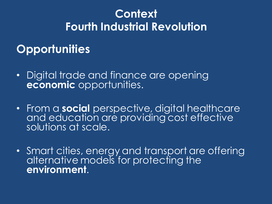## **Context Fourth Industrial Revolution**

### **Opportunities**

- Digital trade and finance are opening **economic** opportunities.
- From a **social** perspective, digital healthcare and education are providing cost effective solutions at scale.
- Smart cities, energy and transport are offering alternative models for protecting the **environment**.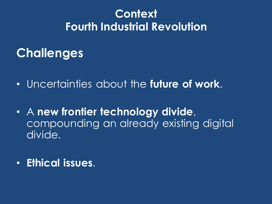## **Context Fourth Industrial Revolution**

## **Challenges**

- Uncertainties about the **future of work**.
- A **new frontier technology divide**, compounding an already existing digital divide.
- **Ethical issues**.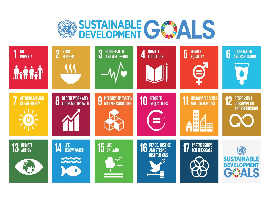

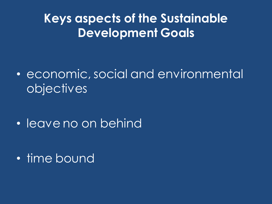## **Keys aspects of the Sustainable Development Goals**

• economic, social and environmental objectives

• leave no on behind

• time bound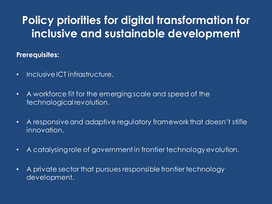## **Policy priorities for digital transformation for inclusive and sustainable development**

#### **Prerequisites:**

- Inclusive ICT infrastructure.
- A workforce fit for the emerging scale and speed of the technological revolution.
- A responsive and adaptive regulatory framework that doesn't stifle innovation.
- A catalysing role of government in frontier technology evolution.
- A private sector that pursues responsible frontier technology development.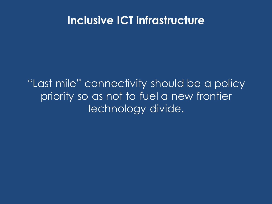### **Inclusive ICT infrastructure**

"Last mile" connectivity should be a policy priority so as not to fuel a new frontier technology divide.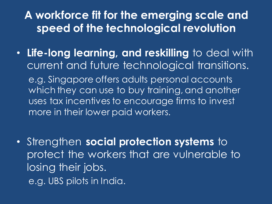### **A workforce fit for the emerging scale and speed of the technological revolution**

• **Life-long learning, and reskilling** to deal with current and future technological transitions. e.g. Singapore offers adults personal accounts which they can use to buy training, and another uses tax incentives to encourage firms to invest more in their lower paid workers.

• Strengthen **social protection systems** to protect the workers that are vulnerable to losing their jobs. e.g. UBS pilots in India.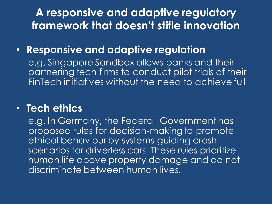**A responsive and adaptive regulatory framework that doesn't stifle innovation**

### • **Responsive and adaptive regulation**

e.g. Singapore Sandbox allows banks and their partnering tech firms to conduct pilot trials of their FinTech initiatives without the need to achieve full

### • **Tech ethics**

e.g. In Germany, the Federal Government has proposed rules for decision-making to promote ethical behaviour by systems guiding crash scenarios for driverless cars. These rules prioritize human life above property damage and do not discriminate between human lives.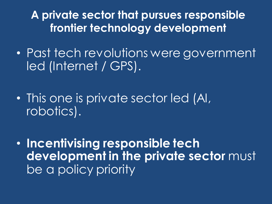**A private sector that pursues responsible frontier technology development**

- Past tech revolutions were government led (Internet / GPS).
- This one is private sector led (AI, robotics).
- **Incentivising responsible tech development in the private sector must** be a policy priority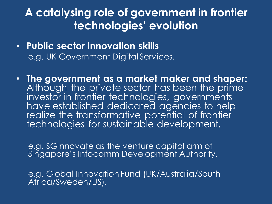### **A catalysing role of government in frontier technologies' evolution**

- **Public sector innovation skills** e.g. UK Government Digital Services.
- **The government as a market maker and shaper:**  Although the private sector has been the prime investor in frontier technologies, governments have established dedicated agencies to help realize the transformative potential of frontier technologies for sustainable development.

e.g. SGInnovate as the venture capital arm of Singapore's Infocomm Development Authority.

e.g. Global Innovation Fund (UK/Australia/South Africa/Sweden/US).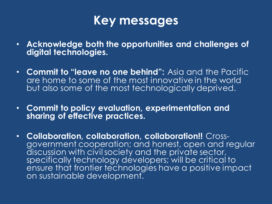

- **Acknowledge both the opportunities and challenges of digital technologies.**
- **Commit to "leave no one behind":** Asia and the Pacific are home to some of the most innovative in the world but also some of the most technologically deprived.
- **Commit to policy evaluation, experimentation and sharing of effective practices.**
- **Collaboration, collaboration, collaboration!!** Crossgovernment cooperation; and honest, open and regular discussion with civil society and the private sector, specifically technology developers; will be critical to ensure that frontier technologies have a positive impact on sustainable development.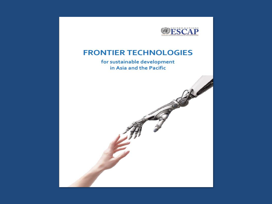

#### **FRONTIER TECHNOLOGIES**

for sustainable development in Asia and the Pacific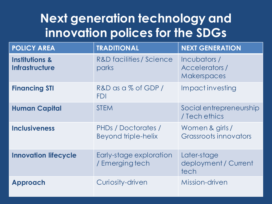## **Next generation technology and innovation polices for the SDGs**

| <b>POLICY AREA</b>                          | <b>TRADITIONAL</b>                         | <b>NEXT GENERATION</b>                                     |
|---------------------------------------------|--------------------------------------------|------------------------------------------------------------|
| <b>Institutions &amp;</b><br>Infrastructure | R&D facilities / Science<br>parks          | Incubators /<br><b>Accelerators/</b><br><b>Makerspaces</b> |
| <b>Financing STI</b>                        | R&D as a % of GDP/<br><b>FDI</b>           | Impact investing                                           |
| <b>Human Capital</b>                        | <b>STEM</b>                                | Social entrepreneurship<br>/ Tech ethics                   |
| <b>Inclusiveness</b>                        | PHDs / Doctorates /<br>Beyond triple-helix | Women & girls /<br>Grassroots innovators                   |
| <b>Innovation lifecycle</b>                 | Early-stage exploration<br>/ Emerging tech | Later-stage<br>deployment / Current<br>tech                |
| Approach                                    | Curiosity-driven                           | Mission-driven                                             |